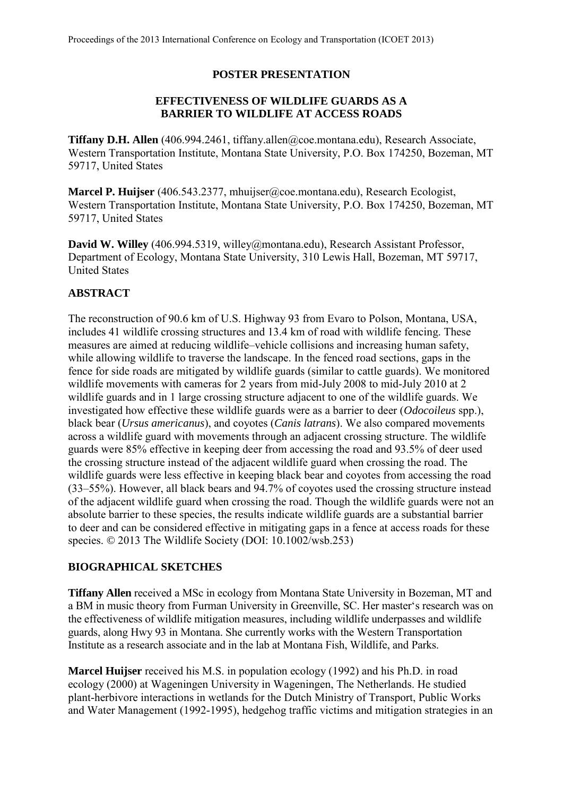## **POSTER PRESENTATION**

## **EFFECTIVENESS OF WILDLIFE GUARDS AS A BARRIER TO WILDLIFE AT ACCESS ROADS**

**Tiffany D.H. Allen** (406.994.2461, tiffany.allen@coe.montana.edu), Research Associate, Western Transportation Institute, Montana State University, P.O. Box 174250, Bozeman, MT 59717, United States

**Marcel P. Huijser** (406.543.2377, mhuijser@coe.montana.edu), Research Ecologist, Western Transportation Institute, Montana State University, P.O. Box 174250, Bozeman, MT 59717, United States

**David W. Willey** (406.994.5319, willey@montana.edu), Research Assistant Professor, Department of Ecology, Montana State University, 310 Lewis Hall, Bozeman, MT 59717, United States

## **ABSTRACT**

The reconstruction of 90.6 km of U.S. Highway 93 from Evaro to Polson, Montana, USA, includes 41 wildlife crossing structures and 13.4 km of road with wildlife fencing. These measures are aimed at reducing wildlife–vehicle collisions and increasing human safety, while allowing wildlife to traverse the landscape. In the fenced road sections, gaps in the fence for side roads are mitigated by wildlife guards (similar to cattle guards). We monitored wildlife movements with cameras for 2 years from mid-July 2008 to mid-July 2010 at 2 wildlife guards and in 1 large crossing structure adjacent to one of the wildlife guards. We investigated how effective these wildlife guards were as a barrier to deer (*Odocoileus* spp.), black bear (*Ursus americanus*), and coyotes (*Canis latrans*). We also compared movements across a wildlife guard with movements through an adjacent crossing structure. The wildlife guards were 85% effective in keeping deer from accessing the road and 93.5% of deer used the crossing structure instead of the adjacent wildlife guard when crossing the road. The wildlife guards were less effective in keeping black bear and coyotes from accessing the road (33–55%). However, all black bears and 94.7% of coyotes used the crossing structure instead of the adjacent wildlife guard when crossing the road. Though the wildlife guards were not an absolute barrier to these species, the results indicate wildlife guards are a substantial barrier to deer and can be considered effective in mitigating gaps in a fence at access roads for these species.  $\odot$  2013 The Wildlife Society (DOI: 10.1002/wsb.253)

## **BIOGRAPHICAL SKETCHES**

**Tiffany Allen** received a MSc in ecology from Montana State University in Bozeman, MT and a BM in music theory from Furman University in Greenville, SC. Her master's research was on the effectiveness of wildlife mitigation measures, including wildlife underpasses and wildlife guards, along Hwy 93 in Montana. She currently works with the Western Transportation Institute as a research associate and in the lab at Montana Fish, Wildlife, and Parks.

**Marcel Huijser** received his M.S. in population ecology (1992) and his Ph.D. in road ecology (2000) at Wageningen University in Wageningen, The Netherlands. He studied plant-herbivore interactions in wetlands for the Dutch Ministry of Transport, Public Works and Water Management (1992-1995), hedgehog traffic victims and mitigation strategies in an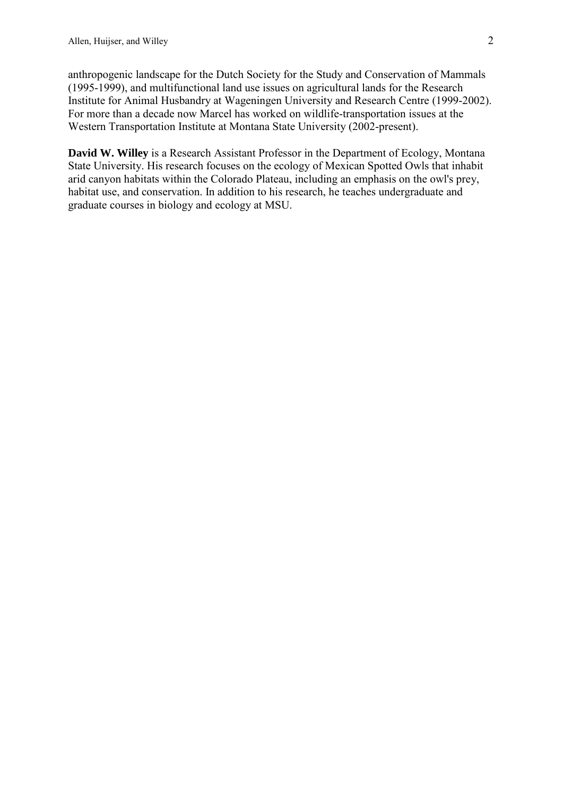anthropogenic landscape for the Dutch Society for the Study and Conservation of Mammals (1995-1999), and multifunctional land use issues on agricultural lands for the Research Institute for Animal Husbandry at Wageningen University and Research Centre (1999-2002). For more than a decade now Marcel has worked on wildlife-transportation issues at the Western Transportation Institute at Montana State University (2002-present).

**David W. Willey** is a Research Assistant Professor in the Department of Ecology, Montana State University. His research focuses on the ecology of Mexican Spotted Owls that inhabit arid canyon habitats within the Colorado Plateau, including an emphasis on the owl's prey, habitat use, and conservation. In addition to his research, he teaches undergraduate and graduate courses in biology and ecology at MSU.